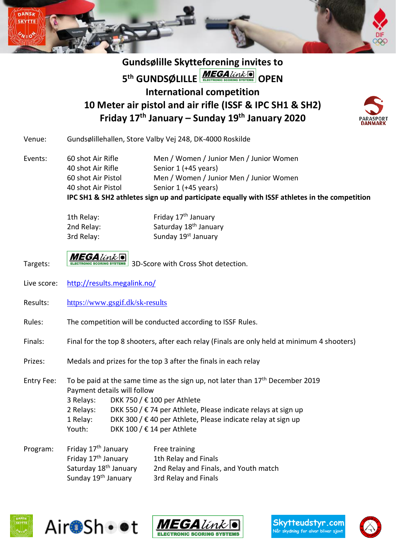

## **Gundsølille Skytteforening invites to 5<sup>th</sup> GUNDSØLILLE ELECTRONIC SCORING SYSTEMS OPEN International competition 10 Meter air pistol and air rifle (ISSF & IPC SH1 & SH2) Friday 17 th January – Sunday 19th January 2020**



- Venue: Gundsølillehallen, Store Valby Vej 248, DK-4000 Roskilde
- Events: 60 shot Air Rifle Men / Women / Junior Men / Junior Women 40 shot Air Rifle Senior 1 (+45 years) 60 shot Air Pistol Men / Women / Junior Men / Junior Women 40 shot Air Pistol Senior 1 (+45 years) **IPC SH1 & SH2 athletes sign up and participate equally with ISSF athletes in the competition**

| 1th Relay: | Friday 17 <sup>th</sup> January   |
|------------|-----------------------------------|
| 2nd Relay: | Saturday 18 <sup>th</sup> January |
| 3rd Relay: | Sunday 19 <sup>st</sup> January   |

- Targets: **MEGA** *Unk* 3D-Score with Cross Shot detection.
- Live score: <http://results.megalink.no/>
- Results: <https://www.gsgif.dk/sk-results>
- Rules: The competition will be conducted according to ISSF Rules.
- Finals: Final for the top 8 shooters, after each relay (Finals are only held at minimum 4 shooters)
- Prizes: Medals and prizes for the top 3 after the finals in each relay

Entry Fee: To be paid at the same time as the sign up, not later than  $17<sup>th</sup>$  December 2019 Payment details will follow 3 Relays: DKK 750 / € 100 per Athlete 2 Relays: DKK 550 /  $\epsilon$  74 per Athlete, Please indicate relays at sign up 1 Relay: DKK 300 /  $\epsilon$  40 per Athlete, Please indicate relay at sign up Youth: DKK 100 / € 14 per Athlete

Program: Friday 17<sup>th</sup> January Free training Friday 17<sup>th</sup> January 1th Relay and Finals Saturday 18th January 2nd Relay and Finals, and Youth match Sunday 19<sup>th</sup> January 3rd Relay and Finals